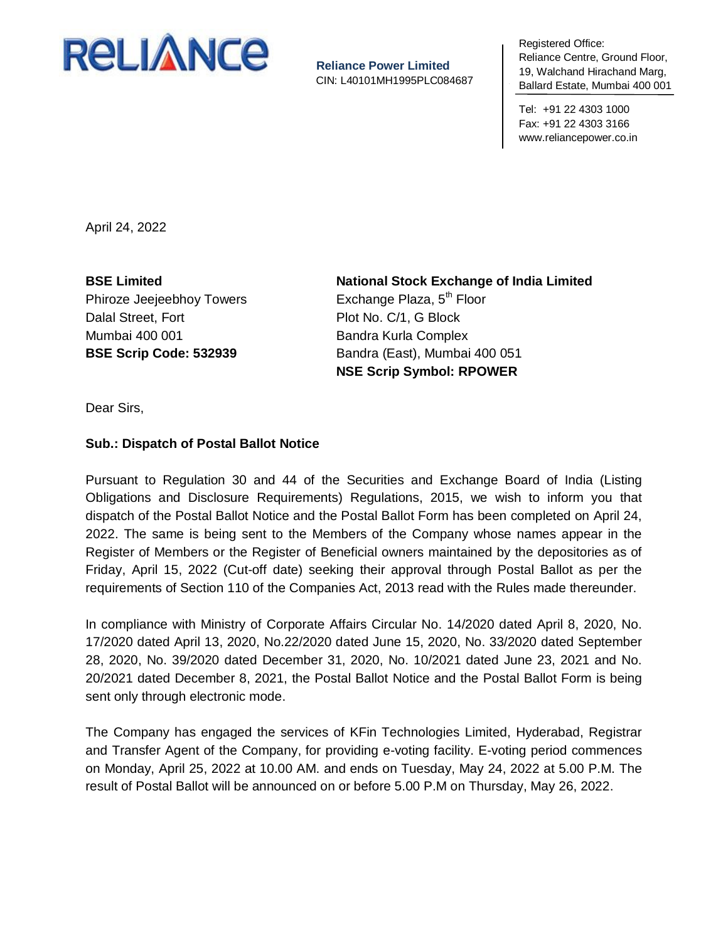

**Reliance Power Limited** CIN: L40101MH1995PLC084687 negistered United<br>Reliance Centre, Ground Floor, 19, Walchand Hirachand Marg, To, Walonana H Ballard Estate, Mumbai 400 001 Registered Office:

Tel: +91 22 4303 1000 Fax: +91 22 4303 3166 www.reliancepower.co.in

April 24, 2022

**BSE Limited** Phiroze Jeejeebhoy Towers Dalal Street, Fort Mumbai 400 001 **BSE Scrip Code: 532939**

**National Stock Exchange of India Limited** Exchange Plaza,  $5<sup>th</sup>$  Floor Plot No. C/1, G Block Bandra Kurla Complex Bandra (East), Mumbai 400 051 **NSE Scrip Symbol: RPOWER**

Dear Sirs,

## **Sub.: Dispatch of Postal Ballot Notice**

Pursuant to Regulation 30 and 44 of the Securities and Exchange Board of India (Listing Obligations and Disclosure Requirements) Regulations, 2015, we wish to inform you that dispatch of the Postal Ballot Notice and the Postal Ballot Form has been completed on April 24, 2022. The same is being sent to the Members of the Company whose names appear in the Register of Members or the Register of Beneficial owners maintained by the depositories as of Friday, April 15, 2022 (Cut-off date) seeking their approval through Postal Ballot as per the requirements of Section 110 of the Companies Act, 2013 read with the Rules made thereunder.

In compliance with Ministry of Corporate Affairs Circular No. 14/2020 dated April 8, 2020, No. 17/2020 dated April 13, 2020, No.22/2020 dated June 15, 2020, No. 33/2020 dated September 28, 2020, No. 39/2020 dated December 31, 2020, No. 10/2021 dated June 23, 2021 and No. 20/2021 dated December 8, 2021, the Postal Ballot Notice and the Postal Ballot Form is being sent only through electronic mode.

The Company has engaged the services of KFin Technologies Limited, Hyderabad, Registrar and Transfer Agent of the Company, for providing e-voting facility. E-voting period commences on Monday, April 25, 2022 at 10.00 AM. and ends on Tuesday, May 24, 2022 at 5.00 P.M. The result of Postal Ballot will be announced on or before 5.00 P.M on Thursday, May 26, 2022.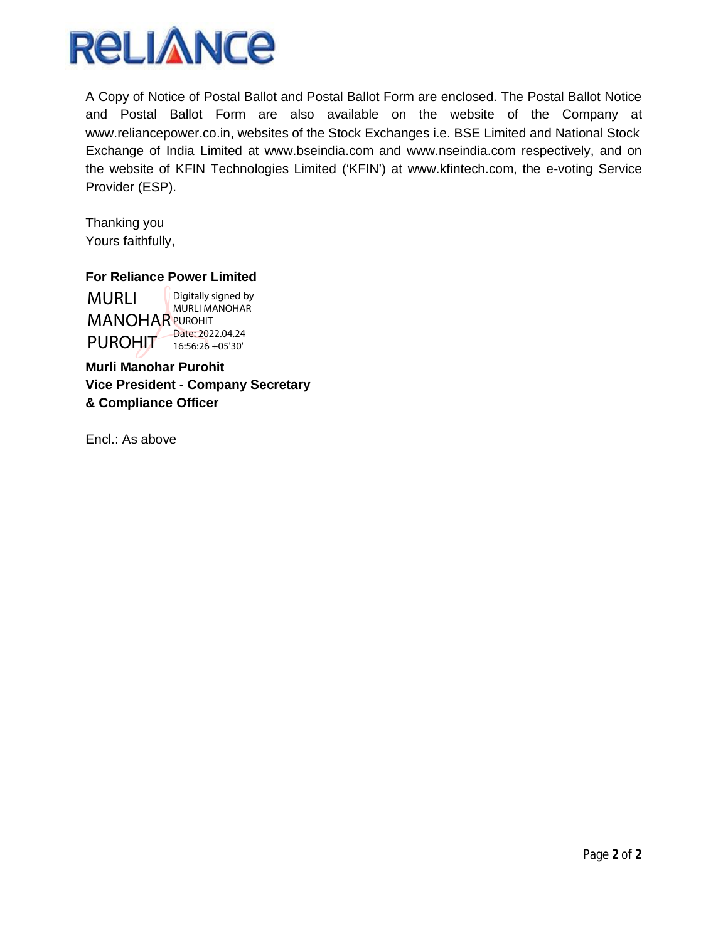

A Copy of Notice of Postal Ballot and Postal Ballot Form are enclosed. The Postal Ballot Notice and Postal Ballot Form are also available on the website of the Company at www.reliancepower.co.in, websites of the Stock Exchanges i.e. BSE Limited and National Stock Exchange of India Limited at www.bseindia.com and www.nseindia.com respectively, and on the website of KFIN Technologies Limited ('KFIN') at www.kfintech.com, the e-voting Service Provider (ESP).

Thanking you Yours faithfully,

# **For Reliance Power Limited**

MURLI **MANOHAR PUROHIT** PUROHIT<sub>T</sub> Digitally signed by MURLI MANOHAR Date: 2022.04.24 16:56:26 +05'30'

**Murli Manohar Purohit Vice President - Company Secretary & Compliance Officer** 

Encl.: As above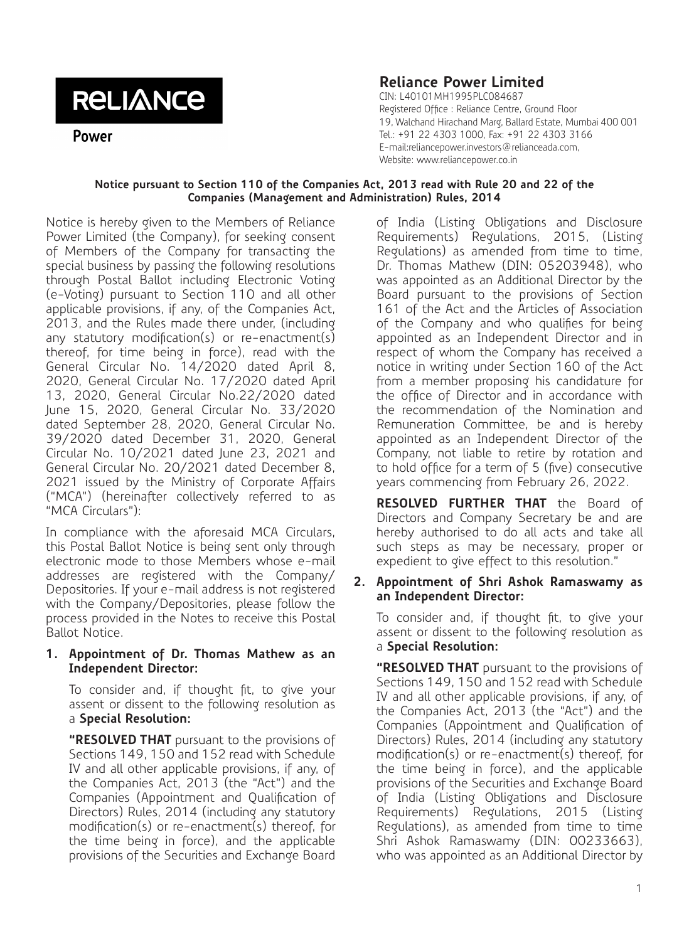# **RELIANCE**

Power

# **Reliance Power Limited**

CIN: L40101MH1995PLC084687 Registered Office : Reliance Centre, Ground Floor 19, Walchand Hirachand Marg, Ballard Estate, Mumbai 400 001 Tel.: +91 22 4303 1000, Fax: +91 22 4303 3166 E-mail:reliancepower.investors@relianceada.com, Website: www.reliancepower.co.in

#### **Notice pursuant to Section 110 of the Companies Act, 2013 read with Rule 20 and 22 of the Companies (Management and Administration) Rules, 2014**

Notice is hereby given to the Members of Reliance Power Limited (the Company), for seeking consent of Members of the Company for transacting the special business by passing the following resolutions through Postal Ballot including Electronic Voting (e-Voting) pursuant to Section 110 and all other applicable provisions, if any, of the Companies Act, 2013, and the Rules made there under, (including any statutory modification(s) or re-enactment(s) thereof, for time being in force), read with the General Circular No. 14/2020 dated April 8, 2020, General Circular No. 17/2020 dated April 13, 2020, General Circular No.22/2020 dated June 15, 2020, General Circular No. 33/2020 dated September 28, 2020, General Circular No. 39/2020 dated December 31, 2020, General Circular No. 10/2021 dated June 23, 2021 and General Circular No. 20/2021 dated December 8, 2021 issued by the Ministry of Corporate Affairs ("MCA") (hereinafter collectively referred to as "MCA Circulars"):

In compliance with the aforesaid MCA Circulars, this Postal Ballot Notice is being sent only through electronic mode to those Members whose e-mail addresses are registered with the Company/ Depositories. If your e-mail address is not registered with the Company/Depositories, please follow the process provided in the Notes to receive this Postal Ballot Notice.

#### **1. Appointment of Dr. Thomas Mathew as an Independent Director:**

To consider and, if thought fit, to give your assent or dissent to the following resolution as a **Special Resolution:**

**"RESOLVED THAT** pursuant to the provisions of Sections 149, 150 and 152 read with Schedule IV and all other applicable provisions, if any, of the Companies Act, 2013 (the "Act") and the Companies (Appointment and Qualification of Directors) Rules, 2014 (including any statutory modification(s) or re-enactment(s) thereof, for the time being in force), and the applicable provisions of the Securities and Exchange Board

of India (Listing Obligations and Disclosure Requirements) Regulations, 2015, (Listing Regulations) as amended from time to time, Dr. Thomas Mathew (DIN: 05203948), who was appointed as an Additional Director by the Board pursuant to the provisions of Section 161 of the Act and the Articles of Association of the Company and who qualifies for being appointed as an Independent Director and in respect of whom the Company has received a notice in writing under Section 160 of the Act from a member proposing his candidature for the office of Director and in accordance with the recommendation of the Nomination and Remuneration Committee, be and is hereby appointed as an Independent Director of the Company, not liable to retire by rotation and to hold office for a term of 5 (five) consecutive years commencing from February 26, 2022.

**RESOLVED FURTHER THAT** the Board of Directors and Company Secretary be and are hereby authorised to do all acts and take all such steps as may be necessary, proper or expedient to give effect to this resolution."

#### **2. Appointment of Shri Ashok Ramaswamy as an Independent Director:**

To consider and, if thought fit, to give your assent or dissent to the following resolution as a **Special Resolution:**

**"RESOLVED THAT** pursuant to the provisions of Sections 149, 150 and 152 read with Schedule IV and all other applicable provisions, if any, of the Companies Act, 2013 (the "Act") and the Companies (Appointment and Qualification of Directors) Rules, 2014 (including any statutory modification(s) or re-enactment(s) thereof, for the time being in force), and the applicable provisions of the Securities and Exchange Board of India (Listing Obligations and Disclosure Requirements) Regulations, 2015 (Listing Regulations), as amended from time to time Shri Ashok Ramaswamy (DIN: 00233663), who was appointed as an Additional Director by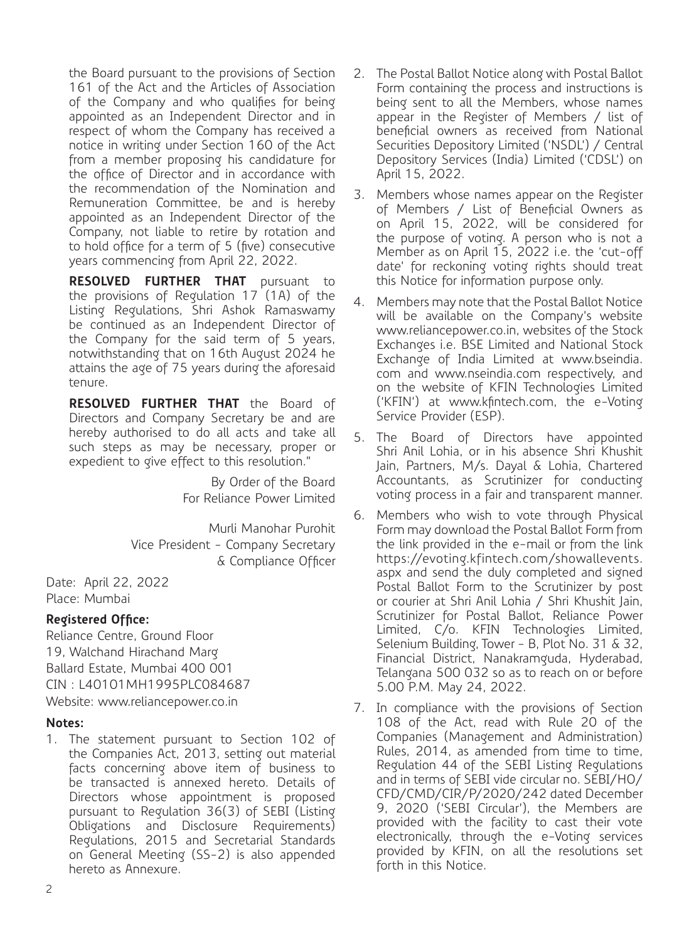the Board pursuant to the provisions of Section 161 of the Act and the Articles of Association of the Company and who qualifies for being appointed as an Independent Director and in respect of whom the Company has received a notice in writing under Section 160 of the Act from a member proposing his candidature for the office of Director and in accordance with the recommendation of the Nomination and Remuneration Committee, be and is hereby appointed as an Independent Director of the Company, not liable to retire by rotation and to hold office for a term of 5 (five) consecutive years commencing from April 22, 2022.

**RESOLVED FURTHER THAT** pursuant to the provisions of Regulation 17 (1A) of the Listing Regulations, Shri Ashok Ramaswamy be continued as an Independent Director of the Company for the said term of 5 years, notwithstanding that on 16th August 2024 he attains the age of 75 years during the aforesaid tenure.

**RESOLVED FURTHER THAT** the Board of Directors and Company Secretary be and are hereby authorised to do all acts and take all such steps as may be necessary, proper or expedient to give effect to this resolution."

> By Order of the Board For Reliance Power Limited

Murli Manohar Purohit Vice President - Company Secretary & Compliance Officer

Date: April 22, 2022 Place: Mumbai

# **Registered Office:**

Reliance Centre, Ground Floor 19, Walchand Hirachand Marg Ballard Estate, Mumbai 400 001 CIN : L40101MH1995PLC084687 Website: www.reliancepower.co.in

#### **Notes:**

1. The statement pursuant to Section 102 of the Companies Act, 2013, setting out material facts concerning above item of business to be transacted is annexed hereto. Details of Directors whose appointment is proposed pursuant to Regulation 36(3) of SEBI (Listing Obligations and Disclosure Requirements) Regulations, 2015 and Secretarial Standards on General Meeting (SS-2) is also appended hereto as Annexure.

- 2. The Postal Ballot Notice along with Postal Ballot Form containing the process and instructions is being sent to all the Members, whose names appear in the Register of Members / list of beneficial owners as received from National Securities Depository Limited ('NSDL') / Central Depository Services (India) Limited ('CDSL') on April 15, 2022.
- 3. Members whose names appear on the Register of Members / List of Beneficial Owners as on April 15, 2022, will be considered for the purpose of voting. A person who is not a Member as on April 15, 2022 i.e. the 'cut-off date' for reckoning voting rights should treat this Notice for information purpose only.
- 4. Members may note that the Postal Ballot Notice will be available on the Company's website www.reliancepower.co.in, websites of the Stock Exchanges i.e. BSE Limited and National Stock Exchange of India Limited at www.bseindia. com and www.nseindia.com respectively, and on the website of KFIN Technologies Limited ('KFIN') at www.kfintech.com, the e-Voting Service Provider (ESP).
- 5. The Board of Directors have appointed Shri Anil Lohia, or in his absence Shri Khushit Jain, Partners, M/s. Dayal & Lohia, Chartered Accountants, as Scrutinizer for conducting voting process in a fair and transparent manner.
- 6. Members who wish to vote through Physical Form may download the Postal Ballot Form from the link provided in the e-mail or from the link https://evoting.kfintech.com/showallevents. aspx and send the duly completed and signed Postal Ballot Form to the Scrutinizer by post or courier at Shri Anil Lohia / Shri Khushit Jain, Scrutinizer for Postal Ballot, Reliance Power Limited, C/o. KFIN Technologies Limited, Selenium Building, Tower - B, Plot No. 31 & 32, Financial District, Nanakramguda, Hyderabad, Telangana 500 032 so as to reach on or before 5.00 P.M. May 24, 2022.
- 7. In compliance with the provisions of Section 108 of the Act, read with Rule 20 of the Companies (Management and Administration) Rules, 2014, as amended from time to time, Regulation 44 of the SEBI Listing Regulations and in terms of SEBI vide circular no. SEBI/HO/ CFD/CMD/CIR/P/2020/242 dated December 9, 2020 ('SEBI Circular'), the Members are provided with the facility to cast their vote electronically, through the e-Voting services provided by KFIN, on all the resolutions set forth in this Notice.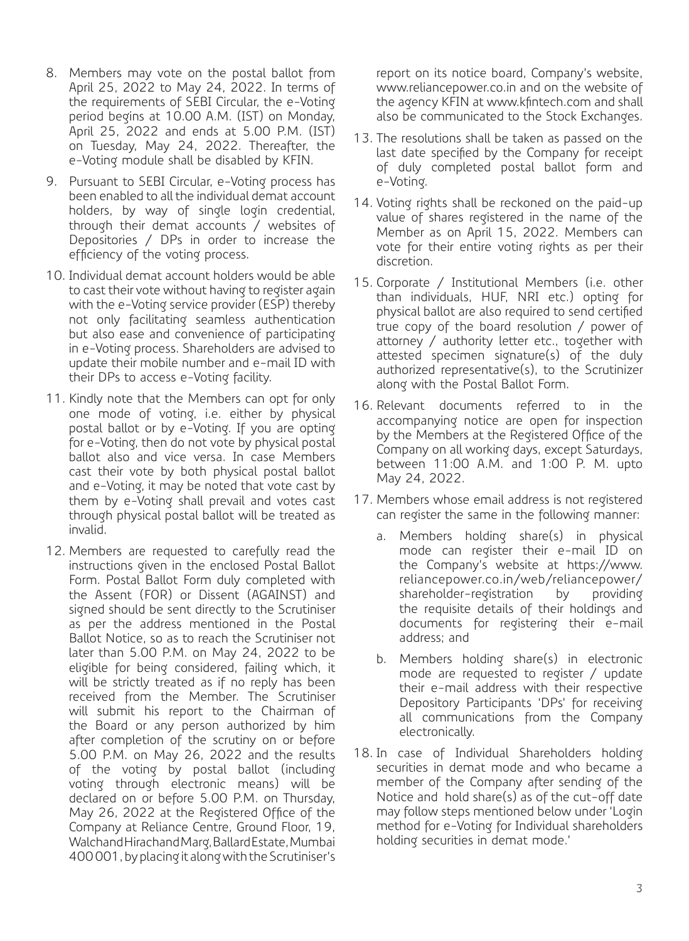- 8. Members may vote on the postal ballot from April 25, 2022 to May 24, 2022. In terms of the requirements of SEBI Circular, the e-Voting period begins at 10.00 A.M. (IST) on Monday, April 25, 2022 and ends at 5.00 P.M. (IST) on Tuesday, May 24, 2022. Thereafter, the e-Voting module shall be disabled by KFIN.
- 9. Pursuant to SEBI Circular, e-Voting process has been enabled to all the individual demat account holders, by way of single login credential, through their demat accounts / websites of Depositories / DPs in order to increase the efficiency of the voting process.
- 10. Individual demat account holders would be able to cast their vote without having to register again with the e-Voting service provider (ESP) thereby not only facilitating seamless authentication but also ease and convenience of participating in e-Voting process. Shareholders are advised to update their mobile number and e-mail ID with their DPs to access e-Voting facility.
- 11. Kindly note that the Members can opt for only one mode of voting, i.e. either by physical postal ballot or by e-Voting. If you are opting for e-Voting, then do not vote by physical postal ballot also and vice versa. In case Members cast their vote by both physical postal ballot and e-Voting, it may be noted that vote cast by them by e-Voting shall prevail and votes cast through physical postal ballot will be treated as invalid.
- 12. Members are requested to carefully read the instructions given in the enclosed Postal Ballot Form. Postal Ballot Form duly completed with the Assent (FOR) or Dissent (AGAINST) and signed should be sent directly to the Scrutiniser as per the address mentioned in the Postal Ballot Notice, so as to reach the Scrutiniser not later than 5.00 P.M. on May 24, 2022 to be eligible for being considered, failing which, it will be strictly treated as if no reply has been received from the Member. The Scrutiniser will submit his report to the Chairman of the Board or any person authorized by him after completion of the scrutiny on or before 5.00 P.M. on May 26, 2022 and the results of the voting by postal ballot (including voting through electronic means) will be declared on or before 5.00 P.M. on Thursday, May 26, 2022 at the Registered Office of the Company at Reliance Centre, Ground Floor, 19, Walchand Hirachand Marg, Ballard Estate, Mumbai 400 001, by placing it along with the Scrutiniser's

report on its notice board, Company's website, www.reliancepower.co.in and on the website of the agency KFIN at www.kfintech.com and shall also be communicated to the Stock Exchanges.

- 13. The resolutions shall be taken as passed on the last date specified by the Company for receipt of duly completed postal ballot form and e-Voting.
- 14. Voting rights shall be reckoned on the paid-up value of shares registered in the name of the Member as on April 15, 2022. Members can vote for their entire voting rights as per their discretion.
- 15. Corporate / Institutional Members (i.e. other than individuals, HUF, NRI etc.) opting for physical ballot are also required to send certified true copy of the board resolution / power of attorney / authority letter etc., together with attested specimen signature(s) of the duly authorized representative(s), to the Scrutinizer along with the Postal Ballot Form.
- 16. Relevant documents referred to in the accompanying notice are open for inspection by the Members at the Registered Office of the Company on all working days, except Saturdays, between 11:00 A.M. and 1:00 P. M. upto May 24, 2022.
- 17. Members whose email address is not registered can register the same in the following manner:
	- a. Members holding share(s) in physical mode can register their e-mail ID on the Company's website at https://www. reliancepower.co.in/web/reliancepower/ shareholder-registration by providing the requisite details of their holdings and documents for registering their e-mail address; and
	- b. Members holding share(s) in electronic mode are requested to register / update their e-mail address with their respective Depository Participants 'DPs' for receiving all communications from the Company electronically.
- 18. In case of Individual Shareholders holding securities in demat mode and who became a member of the Company after sending of the Notice and hold share(s) as of the cut-off date may follow steps mentioned below under 'Login method for e-Voting for Individual shareholders holding securities in demat mode.'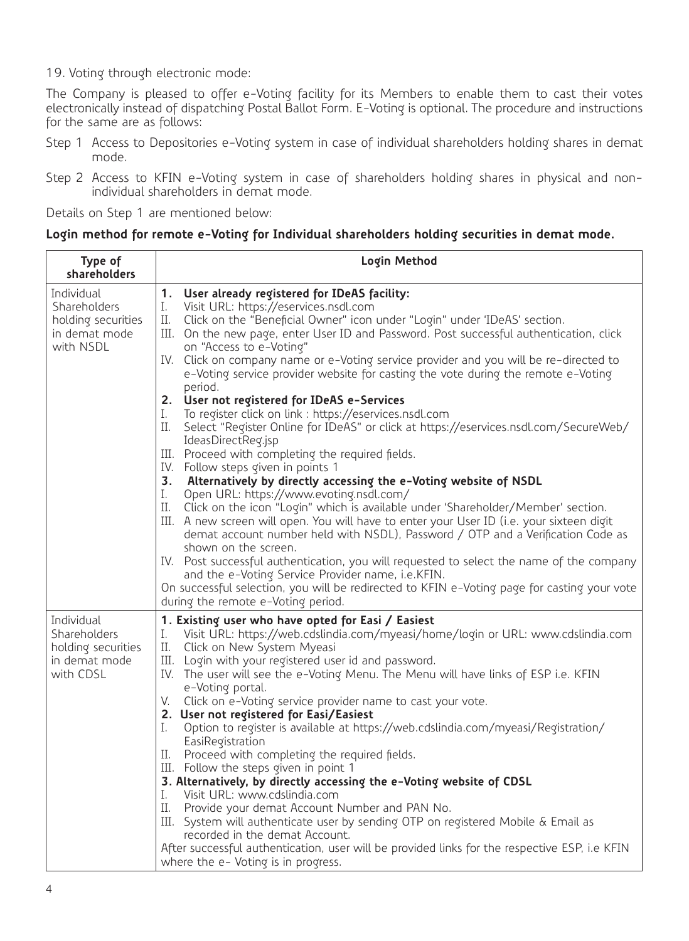19. Voting through electronic mode:

The Company is pleased to offer e-Voting facility for its Members to enable them to cast their votes electronically instead of dispatching Postal Ballot Form. E-Voting is optional. The procedure and instructions for the same are as follows:

- Step 1 Access to Depositories e-Voting system in case of individual shareholders holding shares in demat mode.
- Step 2 Access to KFIN e-Voting system in case of shareholders holding shares in physical and nonindividual shareholders in demat mode.

Details on Step 1 are mentioned below:

#### **Login method for remote e-Voting for Individual shareholders holding securities in demat mode.**

| Type of<br>shareholders                                                        | Login Method                                                                                                                                                                                                                                                                                                                                                                                                                                                                                                                                                                                                                                                                                                                                                                                                                                                                                                                                                                                                                                                                                                                                                                                                                                                                                                                                                                                                                                                                                                                                |
|--------------------------------------------------------------------------------|---------------------------------------------------------------------------------------------------------------------------------------------------------------------------------------------------------------------------------------------------------------------------------------------------------------------------------------------------------------------------------------------------------------------------------------------------------------------------------------------------------------------------------------------------------------------------------------------------------------------------------------------------------------------------------------------------------------------------------------------------------------------------------------------------------------------------------------------------------------------------------------------------------------------------------------------------------------------------------------------------------------------------------------------------------------------------------------------------------------------------------------------------------------------------------------------------------------------------------------------------------------------------------------------------------------------------------------------------------------------------------------------------------------------------------------------------------------------------------------------------------------------------------------------|
| Individual<br>Shareholders<br>holding securities<br>in demat mode<br>with NSDL | 1. User already registered for IDeAS facility:<br>I.<br>Visit URL: https://eservices.nsdl.com<br>II. Click on the "Beneficial Owner" icon under "Login" under 'IDeAS' section.<br>III. On the new page, enter User ID and Password. Post successful authentication, click<br>on "Access to e-Voting"<br>IV. Click on company name or e-Voting service provider and you will be re-directed to<br>e-Voting service provider website for casting the vote during the remote e-Voting<br>period.<br>2. User not registered for IDeAS e-Services<br>To register click on link : https://eservices.nsdl.com<br>I.<br>Select "Register Online for IDeAS" or click at https://eservices.nsdl.com/SecureWeb/<br>П.<br>IdeasDirectReq.jsp<br>III. Proceed with completing the required fields.<br>IV. Follow steps given in points 1<br>3. Alternatively by directly accessing the e-Voting website of NSDL<br>Open URL: https://www.evoting.nsdl.com/<br>I.<br>Click on the icon "Login" which is available under 'Shareholder/Member' section.<br>Н.<br>III. A new screen will open. You will have to enter your User ID (i.e. your sixteen digit<br>demat account number held with NSDL), Password / OTP and a Verification Code as<br>shown on the screen.<br>IV. Post successful authentication, you will requested to select the name of the company<br>and the e-Voting Service Provider name, i.e.KFIN.<br>On successful selection, you will be redirected to KFIN e-Voting page for casting your vote<br>during the remote e-Voting period. |
| Individual<br>Shareholders<br>holding securities<br>in demat mode<br>with CDSL | 1. Existing user who have opted for Easi / Easiest<br>Visit URL: https://web.cdslindia.com/myeasi/home/login or URL: www.cdslindia.com<br>I.<br>II. Click on New System Myeasi<br>III. Login with your registered user id and password.<br>IV. The user will see the e-Voting Menu. The Menu will have links of ESP i.e. KFIN<br>e-Voting portal.<br>V. Click on e-Voting service provider name to cast your vote.<br>2. User not registered for Easi/Easiest<br>Option to register is available at https://web.cdslindia.com/myeasi/Registration/<br>I.<br>EasiRegistration<br>Proceed with completing the required fields.<br>П.<br>III. Follow the steps given in point 1<br>3. Alternatively, by directly accessing the e-Voting website of CDSL<br>Visit URL: www.cdslindia.com<br>I.<br>Provide your demat Account Number and PAN No.<br>П.<br>III. System will authenticate user by sending OTP on registered Mobile & Email as<br>recorded in the demat Account.<br>After successful authentication, user will be provided links for the respective ESP, i.e KFIN<br>where the e- Voting is in progress.                                                                                                                                                                                                                                                                                                                                                                                                                            |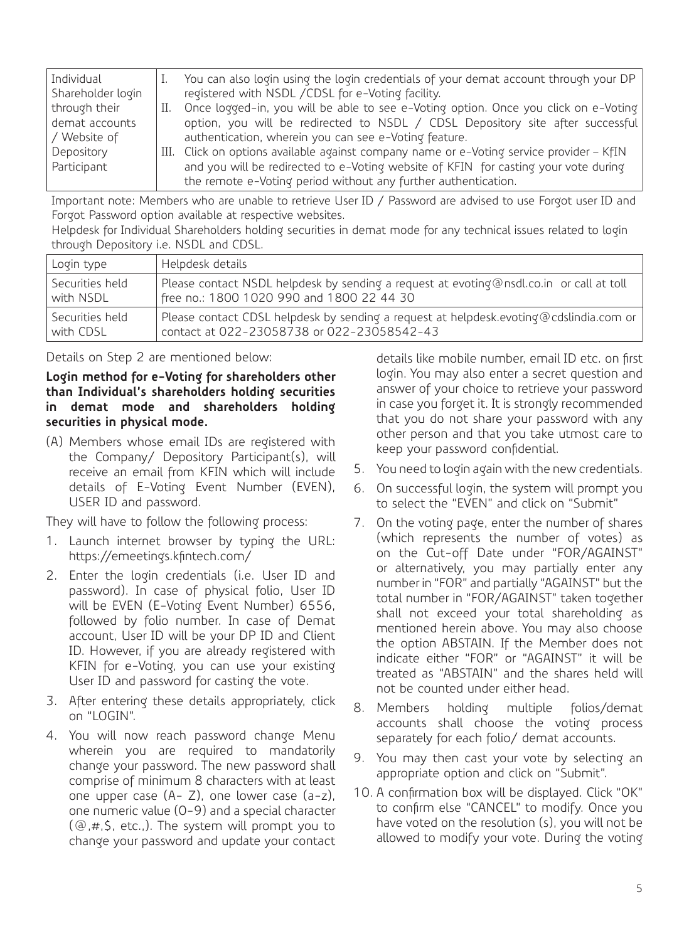| Individual        |    | You can also login using the login credentials of your demat account through your DP     |
|-------------------|----|------------------------------------------------------------------------------------------|
| Shareholder login |    | registered with NSDL / CDSL for e-Voting facility.                                       |
| through their     | П. | Once logged-in, you will be able to see e-Voting option. Once you click on e-Voting      |
| demat accounts    |    | option, you will be redirected to NSDL / CDSL Depository site after successful           |
| / Website of      |    | authentication, wherein you can see e-Voting feature.                                    |
| Depository        |    | III. Click on options available against company name or e-Voting service provider - KfIN |
| Participant       |    | and you will be redirected to e-Voting website of KFIN for casting your vote during      |
|                   |    | the remote e-Voting period without any further authentication.                           |
|                   |    |                                                                                          |

Important note: Members who are unable to retrieve User ID / Password are advised to use Forgot user ID and Forgot Password option available at respective websites.

Helpdesk for Individual Shareholders holding securities in demat mode for any technical issues related to login through Depository i.e. NSDL and CDSL.

| Login type      | Helpdesk details                                                                        |
|-----------------|-----------------------------------------------------------------------------------------|
| Securities held | Please contact NSDL helpdesk by sending a request at evoting@nsdl.co.in or call at toll |
| with NSDL       | free no.: 1800 1020 990 and 1800 22 44 30                                               |
| Securities held | Please contact CDSL helpdesk by sending a request at helpdesk.evoting@cdslindia.com or  |
| with CDSI       | contact at 022-23058738 or 022-23058542-43                                              |

Details on Step 2 are mentioned below:

**Login method for e-Voting for shareholders other than Individual's shareholders holding securities in demat mode and shareholders holding securities in physical mode.**

(A) Members whose email IDs are registered with the Company/ Depository Participant(s), will receive an email from KFIN which will include details of E-Voting Event Number (EVEN), USER ID and password.

They will have to follow the following process:

- 1. Launch internet browser by typing the URL: https://emeetings.kfintech.com/
- 2. Enter the login credentials (i.e. User ID and password). In case of physical folio, User ID will be EVEN (E-Voting Event Number) 6556, followed by folio number. In case of Demat account, User ID will be your DP ID and Client ID. However, if you are already registered with KFIN for e-Voting, you can use your existing User ID and password for casting the vote.
- 3. After entering these details appropriately, click on "LOGIN".
- 4. You will now reach password change Menu wherein you are required to mandatorily change your password. The new password shall comprise of minimum 8 characters with at least one upper case (A- Z), one lower case (a-z), one numeric value (0-9) and a special character (@,#,\$, etc.,). The system will prompt you to change your password and update your contact

details like mobile number, email ID etc. on first login. You may also enter a secret question and answer of your choice to retrieve your password in case you forget it. It is strongly recommended that you do not share your password with any other person and that you take utmost care to keep your password confidential.

- 5. You need to login again with the new credentials.
- 6. On successful login, the system will prompt you to select the "EVEN" and click on "Submit"
- 7. On the voting page, enter the number of shares (which represents the number of votes) as on the Cut-off Date under "FOR/AGAINST" or alternatively, you may partially enter any number in "FOR" and partially "AGAINST" but the total number in "FOR/AGAINST" taken together shall not exceed your total shareholding as mentioned herein above. You may also choose the option ABSTAIN. If the Member does not indicate either "FOR" or "AGAINST" it will be treated as "ABSTAIN" and the shares held will not be counted under either head.
- 8. Members holding multiple folios/demat accounts shall choose the voting process separately for each folio/ demat accounts.
- 9. You may then cast your vote by selecting an appropriate option and click on "Submit".
- 10. A confirmation box will be displayed. Click "OK" to confirm else "CANCEL" to modify. Once you have voted on the resolution (s), you will not be allowed to modify your vote. During the voting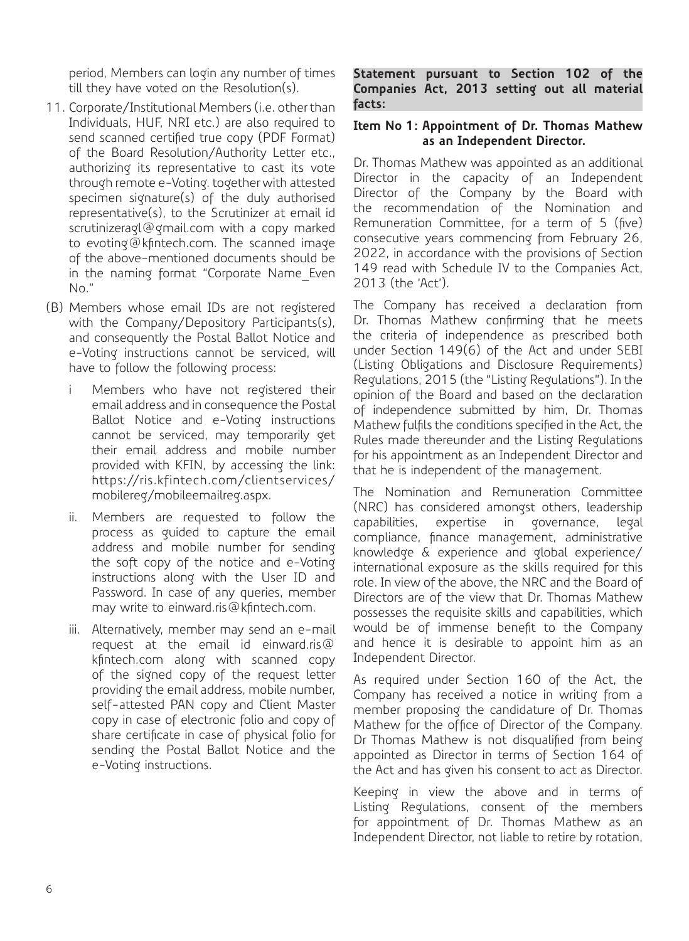period, Members can login any number of times till they have voted on the Resolution(s).

- 11. Corporate/Institutional Members (i.e. other than Individuals, HUF, NRI etc.) are also required to send scanned certified true copy (PDF Format) of the Board Resolution/Authority Letter etc., authorizing its representative to cast its vote through remote e-Voting. together with attested specimen signature(s) of the duly authorised representative(s), to the Scrutinizer at email id scrutinizeragl@gmail.com with a copy marked to evoting@kfintech.com. The scanned image of the above-mentioned documents should be in the naming format "Corporate Name\_Even No."
- (B) Members whose email IDs are not registered with the Company/Depository Participants(s), and consequently the Postal Ballot Notice and e-Voting instructions cannot be serviced, will have to follow the following process:
	- Members who have not registered their email address and in consequence the Postal Ballot Notice and e-Voting instructions cannot be serviced, may temporarily get their email address and mobile number provided with KFIN, by accessing the link: https://ris.kfintech.com/clientservices/ mobilereg/mobileemailreg.aspx.
	- ii. Members are requested to follow the process as guided to capture the email address and mobile number for sending the soft copy of the notice and e-Voting instructions along with the User ID and Password. In case of any queries, member may write to einward.ris@kfintech.com.
	- iii. Alternatively, member may send an e-mail request at the email id einward.ris@ kfintech.com along with scanned copy of the signed copy of the request letter providing the email address, mobile number, self-attested PAN copy and Client Master copy in case of electronic folio and copy of share certificate in case of physical folio for sending the Postal Ballot Notice and the e-Voting instructions.

**Statement pursuant to Section 102 of the Companies Act, 2013 setting out all material facts:**

#### **Item No 1: Appointment of Dr. Thomas Mathew as an Independent Director.**

Dr. Thomas Mathew was appointed as an additional Director in the capacity of an Independent Director of the Company by the Board with the recommendation of the Nomination and Remuneration Committee, for a term of 5 (five) consecutive years commencing from February 26, 2022, in accordance with the provisions of Section 149 read with Schedule IV to the Companies Act, 2013 (the 'Act').

The Company has received a declaration from Dr. Thomas Mathew confirming that he meets the criteria of independence as prescribed both under Section 149(6) of the Act and under SEBI (Listing Obligations and Disclosure Requirements) Regulations, 2015 (the "Listing Regulations"). In the opinion of the Board and based on the declaration of independence submitted by him, Dr. Thomas Mathew fulfils the conditions specified in the Act, the Rules made thereunder and the Listing Regulations for his appointment as an Independent Director and that he is independent of the management.

The Nomination and Remuneration Committee (NRC) has considered amongst others, leadership capabilities, expertise in governance, legal compliance, finance management, administrative knowledge & experience and global experience/ international exposure as the skills required for this role. In view of the above, the NRC and the Board of Directors are of the view that Dr. Thomas Mathew possesses the requisite skills and capabilities, which would be of immense benefit to the Company and hence it is desirable to appoint him as an Independent Director.

As required under Section 160 of the Act, the Company has received a notice in writing from a member proposing the candidature of Dr. Thomas Mathew for the office of Director of the Company. Dr Thomas Mathew is not disqualified from being appointed as Director in terms of Section 164 of the Act and has given his consent to act as Director.

Keeping in view the above and in terms of Listing Regulations, consent of the members for appointment of Dr. Thomas Mathew as an Independent Director, not liable to retire by rotation,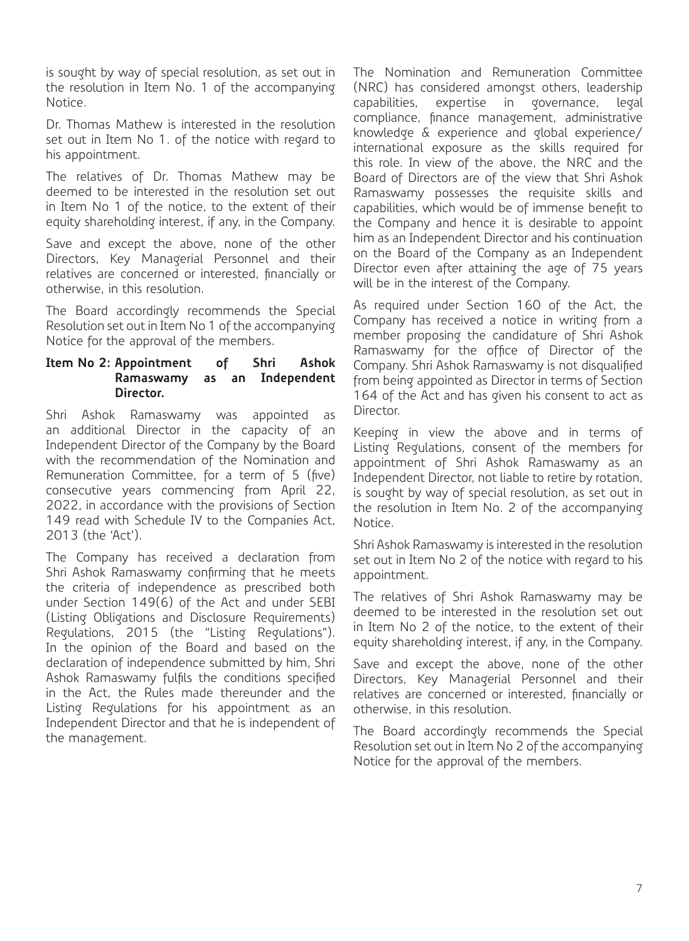is sought by way of special resolution, as set out in the resolution in Item No. 1 of the accompanying Notice.

Dr. Thomas Mathew is interested in the resolution set out in Item No 1. of the notice with regard to his appointment.

The relatives of Dr. Thomas Mathew may be deemed to be interested in the resolution set out in Item No 1 of the notice, to the extent of their equity shareholding interest, if any, in the Company.

Save and except the above, none of the other Directors, Key Managerial Personnel and their relatives are concerned or interested, financially or otherwise, in this resolution.

The Board accordingly recommends the Special Resolution set out in Item No 1 of the accompanying Notice for the approval of the members.

#### **Item No 2: Appointment of Shri Ashok Ramaswamy as an Independent Director.**

Shri Ashok Ramaswamy was appointed as an additional Director in the capacity of an Independent Director of the Company by the Board with the recommendation of the Nomination and Remuneration Committee, for a term of 5 (five) consecutive years commencing from April 22, 2022, in accordance with the provisions of Section 149 read with Schedule IV to the Companies Act, 2013 (the 'Act').

The Company has received a declaration from Shri Ashok Ramaswamy confirming that he meets the criteria of independence as prescribed both under Section 149(6) of the Act and under SEBI (Listing Obligations and Disclosure Requirements) Regulations, 2015 (the "Listing Regulations"). In the opinion of the Board and based on the declaration of independence submitted by him, Shri Ashok Ramaswamy fulfils the conditions specified in the Act, the Rules made thereunder and the Listing Regulations for his appointment as an Independent Director and that he is independent of the management.

The Nomination and Remuneration Committee (NRC) has considered amongst others, leadership capabilities, expertise in governance, legal compliance, finance management, administrative knowledge & experience and global experience/ international exposure as the skills required for this role. In view of the above, the NRC and the Board of Directors are of the view that Shri Ashok Ramaswamy possesses the requisite skills and capabilities, which would be of immense benefit to the Company and hence it is desirable to appoint him as an Independent Director and his continuation on the Board of the Company as an Independent Director even after attaining the age of 75 years will be in the interest of the Company.

As required under Section 160 of the Act, the Company has received a notice in writing from a member proposing the candidature of Shri Ashok Ramaswamy for the office of Director of the Company. Shri Ashok Ramaswamy is not disqualified from being appointed as Director in terms of Section 164 of the Act and has given his consent to act as Director.

Keeping in view the above and in terms of Listing Regulations, consent of the members for appointment of Shri Ashok Ramaswamy as an Independent Director, not liable to retire by rotation, is sought by way of special resolution, as set out in the resolution in Item No. 2 of the accompanying Notice.

Shri Ashok Ramaswamy is interested in the resolution set out in Item No 2 of the notice with regard to his appointment.

The relatives of Shri Ashok Ramaswamy may be deemed to be interested in the resolution set out in Item No 2 of the notice, to the extent of their equity shareholding interest, if any, in the Company.

Save and except the above, none of the other Directors, Key Managerial Personnel and their relatives are concerned or interested, financially or otherwise, in this resolution.

The Board accordingly recommends the Special Resolution set out in Item No 2 of the accompanying Notice for the approval of the members.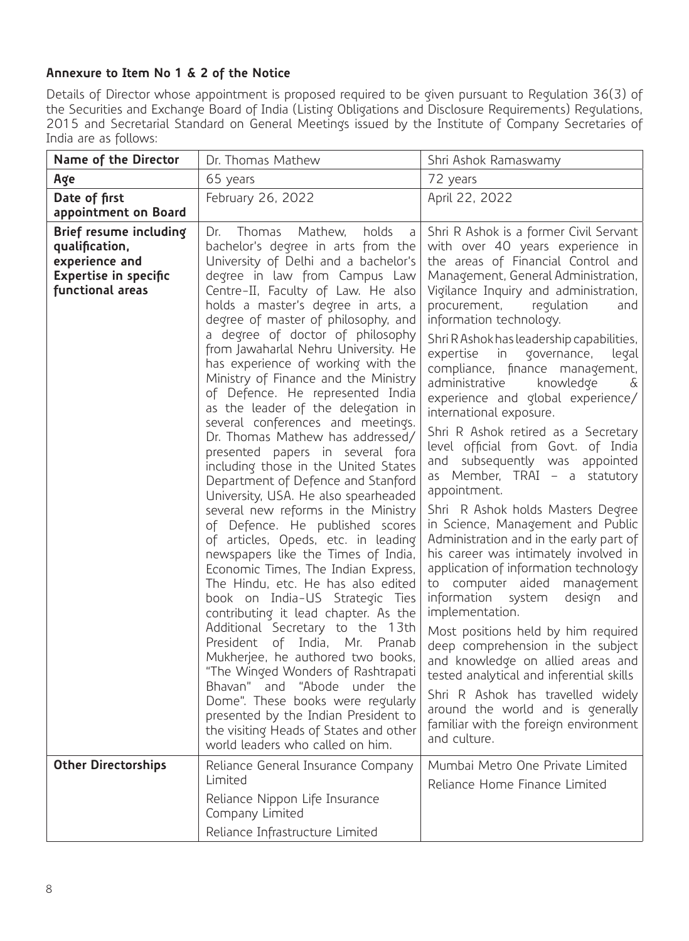# **Annexure to Item No 1 & 2 of the Notice**

Details of Director whose appointment is proposed required to be given pursuant to Regulation 36(3) of the Securities and Exchange Board of India (Listing Obligations and Disclosure Requirements) Regulations, 2015 and Secretarial Standard on General Meetings issued by the Institute of Company Secretaries of India are as follows:

| Name of the Director                                                                                    | Dr. Thomas Mathew                                                                                                                                                                                                                                                                                                                                                                                                                                                                                                                                                                                                                                                                                                                                                                                                                                                                                                                                                                                                                                                                                                                                                                                                                                                                                                                                                                                           | Shri Ashok Ramaswamy                                                                                                                                                                                                                                                                                                                                                                                                                                                                                                                                                                                                                                                                                                                                                                                                                                                                                                                                                                                                                                                                                                                                                                                                                                                    |
|---------------------------------------------------------------------------------------------------------|-------------------------------------------------------------------------------------------------------------------------------------------------------------------------------------------------------------------------------------------------------------------------------------------------------------------------------------------------------------------------------------------------------------------------------------------------------------------------------------------------------------------------------------------------------------------------------------------------------------------------------------------------------------------------------------------------------------------------------------------------------------------------------------------------------------------------------------------------------------------------------------------------------------------------------------------------------------------------------------------------------------------------------------------------------------------------------------------------------------------------------------------------------------------------------------------------------------------------------------------------------------------------------------------------------------------------------------------------------------------------------------------------------------|-------------------------------------------------------------------------------------------------------------------------------------------------------------------------------------------------------------------------------------------------------------------------------------------------------------------------------------------------------------------------------------------------------------------------------------------------------------------------------------------------------------------------------------------------------------------------------------------------------------------------------------------------------------------------------------------------------------------------------------------------------------------------------------------------------------------------------------------------------------------------------------------------------------------------------------------------------------------------------------------------------------------------------------------------------------------------------------------------------------------------------------------------------------------------------------------------------------------------------------------------------------------------|
| Age                                                                                                     | 65 years                                                                                                                                                                                                                                                                                                                                                                                                                                                                                                                                                                                                                                                                                                                                                                                                                                                                                                                                                                                                                                                                                                                                                                                                                                                                                                                                                                                                    | 72 years                                                                                                                                                                                                                                                                                                                                                                                                                                                                                                                                                                                                                                                                                                                                                                                                                                                                                                                                                                                                                                                                                                                                                                                                                                                                |
| Date of first<br>appointment on Board                                                                   | February 26, 2022                                                                                                                                                                                                                                                                                                                                                                                                                                                                                                                                                                                                                                                                                                                                                                                                                                                                                                                                                                                                                                                                                                                                                                                                                                                                                                                                                                                           | April 22, 2022                                                                                                                                                                                                                                                                                                                                                                                                                                                                                                                                                                                                                                                                                                                                                                                                                                                                                                                                                                                                                                                                                                                                                                                                                                                          |
| Brief resume including<br>qualification,<br>experience and<br>Expertise in specific<br>functional areas | Thomas<br>Mathew,<br>holds<br>Dr.<br>a<br>bachelor's degree in arts from the<br>University of Delhi and a bachelor's<br>degree in law from Campus Law<br>Centre-II, Faculty of Law. He also<br>holds a master's degree in arts, a<br>degree of master of philosophy, and<br>a degree of doctor of philosophy<br>from Jawaharlal Nehru University. He<br>has experience of working with the<br>Ministry of Finance and the Ministry<br>of Defence. He represented India<br>as the leader of the delegation in<br>several conferences and meetings.<br>Dr. Thomas Mathew has addressed/<br>presented papers in several fora<br>including those in the United States<br>Department of Defence and Stanford<br>University, USA. He also spearheaded<br>several new reforms in the Ministry<br>of Defence. He published scores<br>of articles, Opeds, etc. in leading<br>newspapers like the Times of India,<br>Economic Times, The Indian Express,<br>The Hindu, etc. He has also edited<br>book on India-US Strategic Ties<br>contributing it lead chapter. As the<br>Additional Secretary to the 13th<br>President of India, Mr. Pranab<br>Mukherjee, he authored two books,<br>"The Winged Wonders of Rashtrapati<br>Bhavan" and "Abode under the<br>Dome". These books were regularly<br>presented by the Indian President to<br>the visiting Heads of States and other<br>world leaders who called on him. | Shri R Ashok is a former Civil Servant<br>with over 40 years experience in<br>the areas of Financial Control and<br>Management, General Administration,<br>Vigilance Inquiry and administration,<br>procurement,<br>regulation<br>and<br>information technology.<br>Shri R Ashok has leadership capabilities,<br>expertise in<br>governance,<br>legal<br>compliance, finance management,<br>administrative<br>knowledge<br>$\delta$<br>experience and global experience/<br>international exposure.<br>Shri R Ashok retired as a Secretary<br>level official from Govt. of India<br>and subsequently was appointed<br>as Member, TRAI - a statutory<br>appointment.<br>Shri R Ashok holds Masters Degree<br>in Science, Management and Public<br>Administration and in the early part of<br>his career was intimately involved in<br>application of information technology<br>to computer aided management<br>information<br>system<br>design<br>and<br>implementation.<br>Most positions held by him required<br>deep comprehension in the subject<br>and knowledge on allied areas and<br>tested analytical and inferential skills<br>Shri R Ashok has travelled widely<br>around the world and is generally<br>familiar with the foreign environment<br>and culture. |
| <b>Other Directorships</b>                                                                              | Reliance General Insurance Company<br>Limited<br>Reliance Nippon Life Insurance<br>Company Limited                                                                                                                                                                                                                                                                                                                                                                                                                                                                                                                                                                                                                                                                                                                                                                                                                                                                                                                                                                                                                                                                                                                                                                                                                                                                                                          | Mumbai Metro One Private Limited<br>Reliance Home Finance Limited                                                                                                                                                                                                                                                                                                                                                                                                                                                                                                                                                                                                                                                                                                                                                                                                                                                                                                                                                                                                                                                                                                                                                                                                       |
|                                                                                                         | Reliance Infrastructure Limited                                                                                                                                                                                                                                                                                                                                                                                                                                                                                                                                                                                                                                                                                                                                                                                                                                                                                                                                                                                                                                                                                                                                                                                                                                                                                                                                                                             |                                                                                                                                                                                                                                                                                                                                                                                                                                                                                                                                                                                                                                                                                                                                                                                                                                                                                                                                                                                                                                                                                                                                                                                                                                                                         |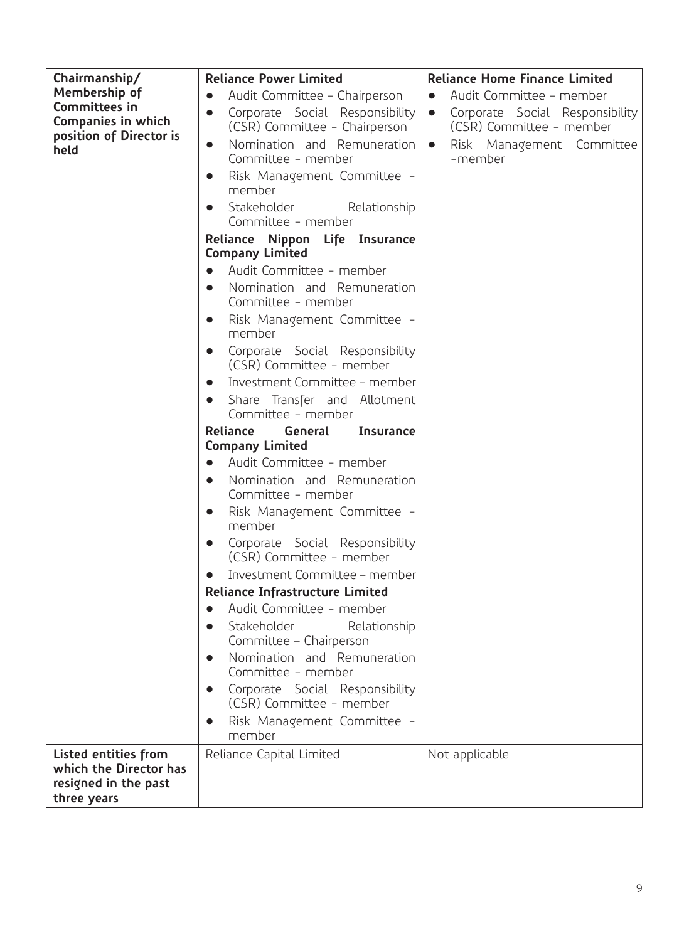| Chairmanship/                                                                         | <b>Reliance Power Limited</b>                                                     | <b>Reliance Home Finance Limited</b>                                     |  |
|---------------------------------------------------------------------------------------|-----------------------------------------------------------------------------------|--------------------------------------------------------------------------|--|
| Membership of                                                                         | Audit Committee - Chairperson<br>$\bullet$                                        | Audit Committee - member<br>$\bullet$                                    |  |
| Committees in<br>Companies in which<br>position of Director is                        | Corporate Social Responsibility<br>$\bullet$<br>(CSR) Committee - Chairperson     | Corporate Social Responsibility<br>$\bullet$<br>(CSR) Committee - member |  |
| held                                                                                  | Nomination and Remuneration<br>$\bullet$<br>Committee - member                    | Risk Management Committee<br>$\bullet$<br>-member                        |  |
|                                                                                       | Risk Management Committee -<br>$\bullet$<br>member                                |                                                                          |  |
|                                                                                       | Stakeholder<br>Relationship<br>$\bullet$<br>Committee - member                    |                                                                          |  |
|                                                                                       | Reliance Nippon Life Insurance<br><b>Company Limited</b>                          |                                                                          |  |
|                                                                                       | Audit Committee - member<br>$\bullet$                                             |                                                                          |  |
|                                                                                       | Nomination and Remuneration<br>$\bullet$<br>Committee - member                    |                                                                          |  |
|                                                                                       | Risk Management Committee -<br>$\bullet$<br>member                                |                                                                          |  |
|                                                                                       | Corporate Social Responsibility<br>$\bullet$<br>(CSR) Committee - member          |                                                                          |  |
|                                                                                       | Investment Committee - member<br>$\bullet$                                        |                                                                          |  |
|                                                                                       | Share Transfer and Allotment<br>$\bullet$<br>Committee - member                   |                                                                          |  |
|                                                                                       | General<br>Reliance<br>Insurance                                                  |                                                                          |  |
|                                                                                       | <b>Company Limited</b>                                                            |                                                                          |  |
|                                                                                       | Audit Committee - member<br>$\bullet$<br>Nomination and Remuneration<br>$\bullet$ |                                                                          |  |
|                                                                                       | Committee - member                                                                |                                                                          |  |
|                                                                                       | Risk Management Committee -<br>$\bullet$<br>member                                |                                                                          |  |
|                                                                                       | Corporate Social Responsibility<br>$\bullet$<br>(CSR) Committee - member          |                                                                          |  |
|                                                                                       | Investment Committee - member<br>$\bullet$                                        |                                                                          |  |
|                                                                                       | Reliance Infrastructure Limited                                                   |                                                                          |  |
|                                                                                       | Audit Committee - member<br>$\bullet$                                             |                                                                          |  |
|                                                                                       | Relationship<br>Stakeholder<br>Committee - Chairperson                            |                                                                          |  |
|                                                                                       | Nomination and Remuneration<br>Committee - member                                 |                                                                          |  |
|                                                                                       | Corporate Social Responsibility<br>$\bullet$<br>(CSR) Committee - member          |                                                                          |  |
|                                                                                       | Risk Management Committee -<br>$\bullet$<br>member                                |                                                                          |  |
| Listed entities from<br>which the Director has<br>resigned in the past<br>three years | Reliance Capital Limited                                                          | Not applicable                                                           |  |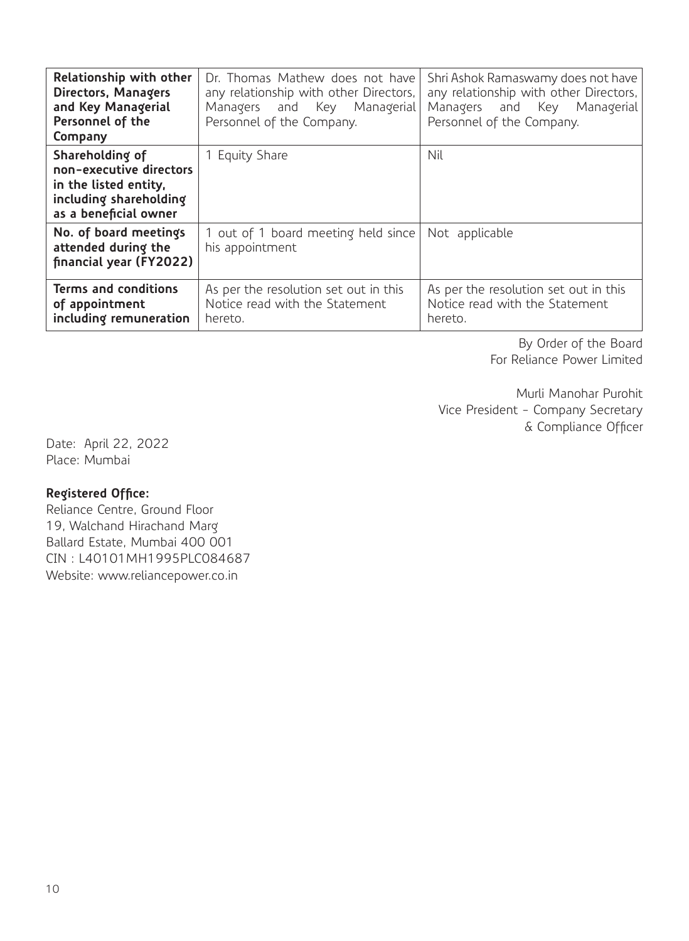| Relationship with other<br>Directors, Managers<br>and Key Managerial<br>Personnel of the<br>Company                    | Dr. Thomas Mathew does not have<br>any relationship with other Directors,<br>Managers and Key Managerial<br>Personnel of the Company. | Shri Ashok Ramaswamy does not have<br>any relationship with other Directors,<br>Managers and Key Managerial<br>Personnel of the Company. |
|------------------------------------------------------------------------------------------------------------------------|---------------------------------------------------------------------------------------------------------------------------------------|------------------------------------------------------------------------------------------------------------------------------------------|
| Shareholding of<br>non-executive directors<br>in the listed entity,<br>including shareholding<br>as a beneficial owner | 1 Equity Share                                                                                                                        | Nil                                                                                                                                      |
| No. of board meetings<br>attended during the<br>financial year (FY2022)                                                | 1 out of 1 board meeting held since<br>his appointment                                                                                | Not applicable                                                                                                                           |
| Terms and conditions<br>of appointment<br>including remuneration                                                       | As per the resolution set out in this<br>Notice read with the Statement<br>hereto.                                                    | As per the resolution set out in this<br>Notice read with the Statement<br>hereto.                                                       |

By Order of the Board For Reliance Power Limited

Murli Manohar Purohit Vice President - Company Secretary & Compliance Officer

Date: April 22, 2022 Place: Mumbai

## **Registered Office:**

Reliance Centre, Ground Floor 19, Walchand Hirachand Marg Ballard Estate, Mumbai 400 001 CIN : L40101MH1995PLC084687 Website: www.reliancepower.co.in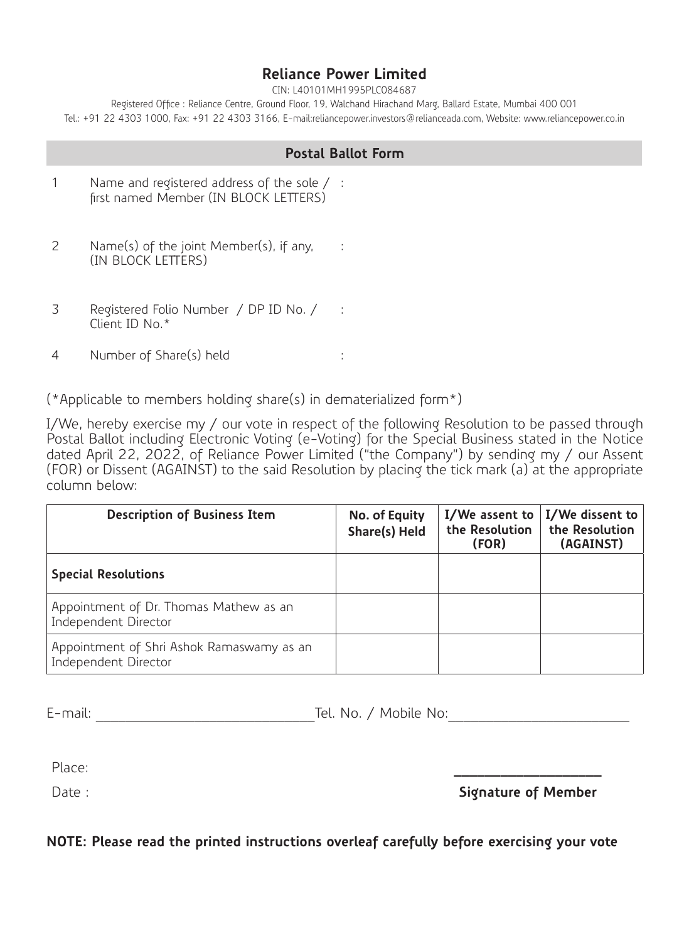# **Reliance Power Limited**

CIN: L40101MH1995PLC084687

Registered Office : Reliance Centre, Ground Floor, 19, Walchand Hirachand Marg, Ballard Estate, Mumbai 400 001 Tel.: +91 22 4303 1000, Fax: +91 22 4303 3166, E-mail:reliancepower.investors@relianceada.com, Website: www.reliancepower.co.in

## **Postal Ballot Form**

- 1 Name and registered address of the sole / : first named Member (IN BLOCK LETTERS)
- 2 Name(s) of the joint Member(s), if any, : (IN BLOCK LETTERS)
- 3 Registered Folio Number / DP ID No. / : Client ID No.\*
- 4 Number of Share(s) held :

(\*Applicable to members holding share(s) in dematerialized form\*)

I/We, hereby exercise my / our vote in respect of the following Resolution to be passed through Postal Ballot including Electronic Voting (e-Voting) for the Special Business stated in the Notice dated April 22, 2022, of Reliance Power Limited ("the Company") by sending my / our Assent (FOR) or Dissent (AGAINST) to the said Resolution by placing the tick mark (a) at the appropriate column below:

| <b>Description of Business Item</b>                               | No. of Equity<br>Share(s) Held | I/We assent to<br>the Resolution<br>(FOR) | I/We dissent to<br>the Resolution<br>(AGAINST) |
|-------------------------------------------------------------------|--------------------------------|-------------------------------------------|------------------------------------------------|
| <b>Special Resolutions</b>                                        |                                |                                           |                                                |
| Appointment of Dr. Thomas Mathew as an<br>Independent Director    |                                |                                           |                                                |
| Appointment of Shri Ashok Ramaswamy as an<br>Independent Director |                                |                                           |                                                |

E-mail: etc. No. / Mobile No:

Place:

Date :

**Signature of Member**

**NOTE: Please read the printed instructions overleaf carefully before exercising your vote**